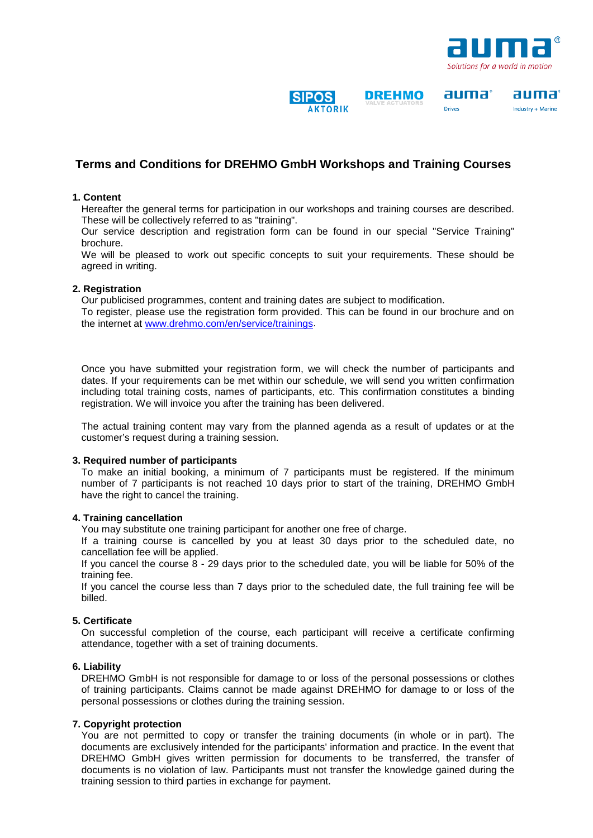

auma°

Drivec

auma°

Industry + Marine

## **SIPOS AKTORIK**

**DREHMO** 

## **Terms and Conditions for DREHMO GmbH Workshops and Training Courses**

#### **1. Content**

Hereafter the general terms for participation in our workshops and training courses are described. These will be collectively referred to as "training".

Our service description and registration form can be found in our special "Service Training" brochure.

We will be pleased to work out specific concepts to suit your requirements. These should be agreed in writing.

#### **2. Registration**

Our publicised programmes, content and training dates are subject to modification.

To register, please use the registration form provided. This can be found in our brochure and on the internet at [www.drehmo.com/en/service/trainings.](http://www.drehmo.com/en/service/trainings)

Once you have submitted your registration form, we will check the number of participants and dates. If your requirements can be met within our schedule, we will send you written confirmation including total training costs, names of participants, etc. This confirmation constitutes a binding registration. We will invoice you after the training has been delivered.

The actual training content may vary from the planned agenda as a result of updates or at the customer's request during a training session.

#### **3. Required number of participants**

To make an initial booking, a minimum of 7 participants must be registered. If the minimum number of 7 participants is not reached 10 days prior to start of the training, DREHMO GmbH have the right to cancel the training.

#### **4. Training cancellation**

You may substitute one training participant for another one free of charge.

If a training course is cancelled by you at least 30 days prior to the scheduled date, no cancellation fee will be applied.

If you cancel the course 8 - 29 days prior to the scheduled date, you will be liable for 50% of the training fee.

If you cancel the course less than 7 days prior to the scheduled date, the full training fee will be billed.

#### **5. Certificate**

On successful completion of the course, each participant will receive a certificate confirming attendance, together with a set of training documents.

#### **6. Liability**

DREHMO GmbH is not responsible for damage to or loss of the personal possessions or clothes of training participants. Claims cannot be made against DREHMO for damage to or loss of the personal possessions or clothes during the training session.

### **7. Copyright protection**

You are not permitted to copy or transfer the training documents (in whole or in part). The documents are exclusively intended for the participants' information and practice. In the event that DREHMO GmbH gives written permission for documents to be transferred, the transfer of documents is no violation of law. Participants must not transfer the knowledge gained during the training session to third parties in exchange for payment.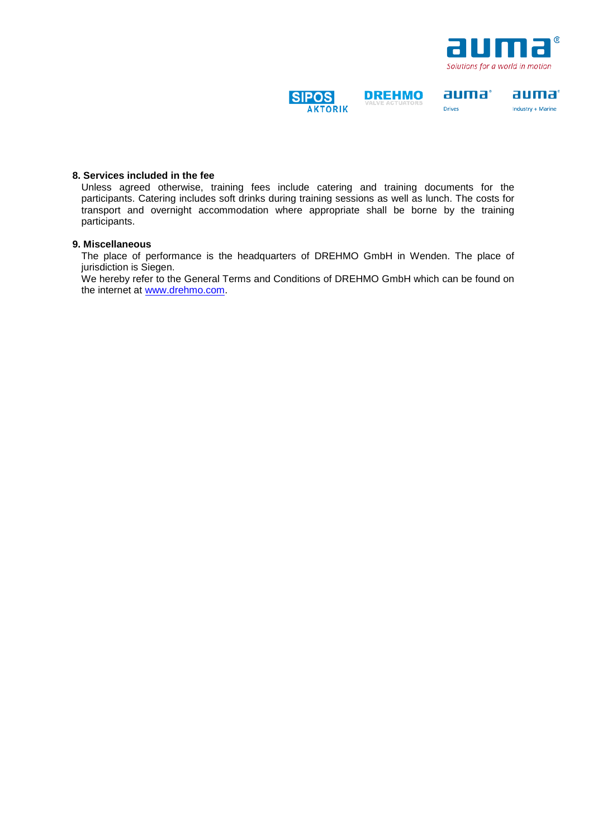

auma°

Industry + Marine

auma°

**Drives** 

### **SIPOS AKTORIK**

**DREHMO** 

# **8. Services included in the fee**

Unless agreed otherwise, training fees include catering and training documents for the participants. Catering includes soft drinks during training sessions as well as lunch. The costs for transport and overnight accommodation where appropriate shall be borne by the training participants.

### **9. Miscellaneous**

The place of performance is the headquarters of DREHMO GmbH in Wenden. The place of jurisdiction is Siegen.

We hereby refer to the General Terms and Conditions of DREHMO GmbH which can be found on the internet at [www.drehmo.com.](http://www.drehmo.com/)